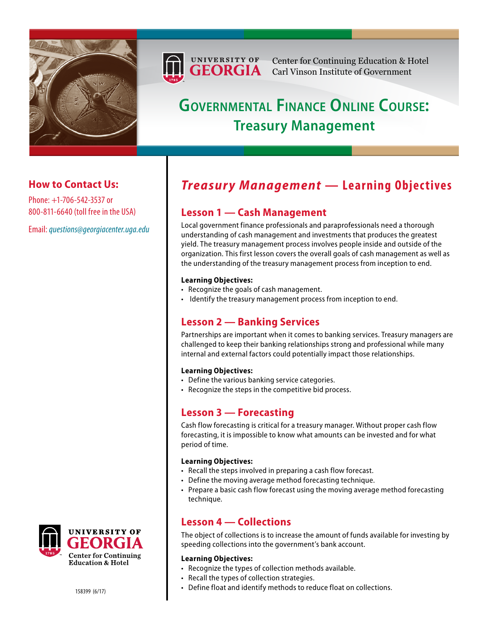



Center for Continuing Education & Hotel Carl Vinson Institute of Government

# **Governmental Finance Online Course: Treasury Management**

### **How to Contact Us:**

Phone: +1-706-542-3537 or 800-811-6640 (toll free in the USA)

Email: *[questions@georgiacenter.uga.edu](mailto:questions@georgiacenter.uga.edu?Subject=Treasury Management inquiry)*

## *Treasury Management* — Learning Objectives

### **Lesson 1 — Cash Management**

Local government finance professionals and paraprofessionals need a thorough understanding of cash management and investments that produces the greatest yield. The treasury management process involves people inside and outside of the organization. This first lesson covers the overall goals of cash management as well as the understanding of the treasury management process from inception to end.

#### **Learning Objectives:**

- Recognize the goals of cash management.
- Identify the treasury management process from inception to end.

### **Lesson 2 — Banking Services**

Partnerships are important when it comes to banking services. Treasury managers are challenged to keep their banking relationships strong and professional while many internal and external factors could potentially impact those relationships.

#### **Learning Objectives:**

- Define the various banking service categories.
- Recognize the steps in the competitive bid process.

### **Lesson 3 — Forecasting**

Cash flow forecasting is critical for a treasury manager. Without proper cash flow forecasting, it is impossible to know what amounts can be invested and for what period of time.

#### **Learning Objectives:**

- Recall the steps involved in preparing a cash flow forecast.
- Define the moving average method forecasting technique.
- Prepare a basic cash flow forecast using the moving average method forecasting technique.

### **Lesson 4 — Collections**

The object of collections is to increase the amount of funds available for investing by speeding collections into the government's bank account.

#### **Learning Objectives:**

- Recognize the types of collection methods available.
- Recall the types of collection strategies.
- Define float and identify methods to reduce float on collections.

**UNIVERSITY OF Center for Continuing Education & Hotel**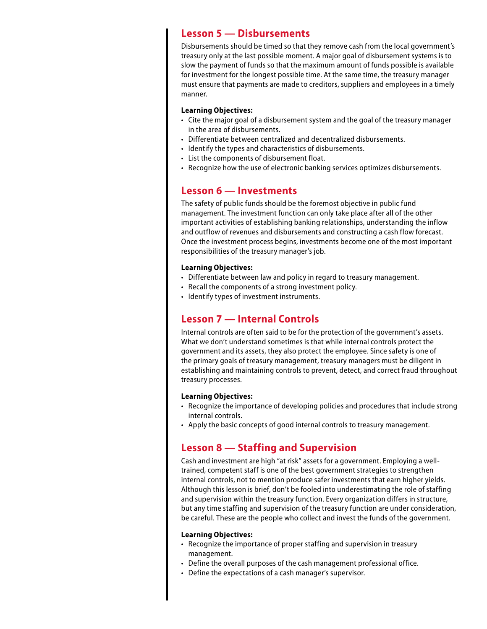### **Lesson 5 — Disbursements**

Disbursements should be timed so that they remove cash from the local government's treasury only at the last possible moment. A major goal of disbursement systems is to slow the payment of funds so that the maximum amount of funds possible is available for investment for the longest possible time. At the same time, the treasury manager must ensure that payments are made to creditors, suppliers and employees in a timely manner.

#### **Learning Objectives:**

- Cite the major goal of a disbursement system and the goal of the treasury manager in the area of disbursements.
- Differentiate between centralized and decentralized disbursements.
- Identify the types and characteristics of disbursements.
- List the components of disbursement float.
- Recognize how the use of electronic banking services optimizes disbursements.

### **Lesson 6 — Investments**

The safety of public funds should be the foremost objective in public fund management. The investment function can only take place after all of the other important activities of establishing banking relationships, understanding the inflow and outflow of revenues and disbursements and constructing a cash flow forecast. Once the investment process begins, investments become one of the most important responsibilities of the treasury manager's job.

#### **Learning Objectives:**

- Differentiate between law and policy in regard to treasury management.
- Recall the components of a strong investment policy.
- Identify types of investment instruments.

### **Lesson 7 — Internal Controls**

Internal controls are often said to be for the protection of the government's assets. What we don't understand sometimes is that while internal controls protect the government and its assets, they also protect the employee. Since safety is one of the primary goals of treasury management, treasury managers must be diligent in establishing and maintaining controls to prevent, detect, and correct fraud throughout treasury processes.

#### **Learning Objectives:**

- Recognize the importance of developing policies and procedures that include strong internal controls.
- Apply the basic concepts of good internal controls to treasury management.

### **Lesson 8 — Staffing and Supervision**

Cash and investment are high "at risk" assets for a government. Employing a welltrained, competent staff is one of the best government strategies to strengthen internal controls, not to mention produce safer investments that earn higher yields. Although this lesson is brief, don't be fooled into underestimating the role of staffing and supervision within the treasury function. Every organization differs in structure, but any time staffing and supervision of the treasury function are under consideration, be careful. These are the people who collect and invest the funds of the government.

#### **Learning Objectives:**

- Recognize the importance of proper staffing and supervision in treasury management.
- Define the overall purposes of the cash management professional office.
- Define the expectations of a cash manager's supervisor.